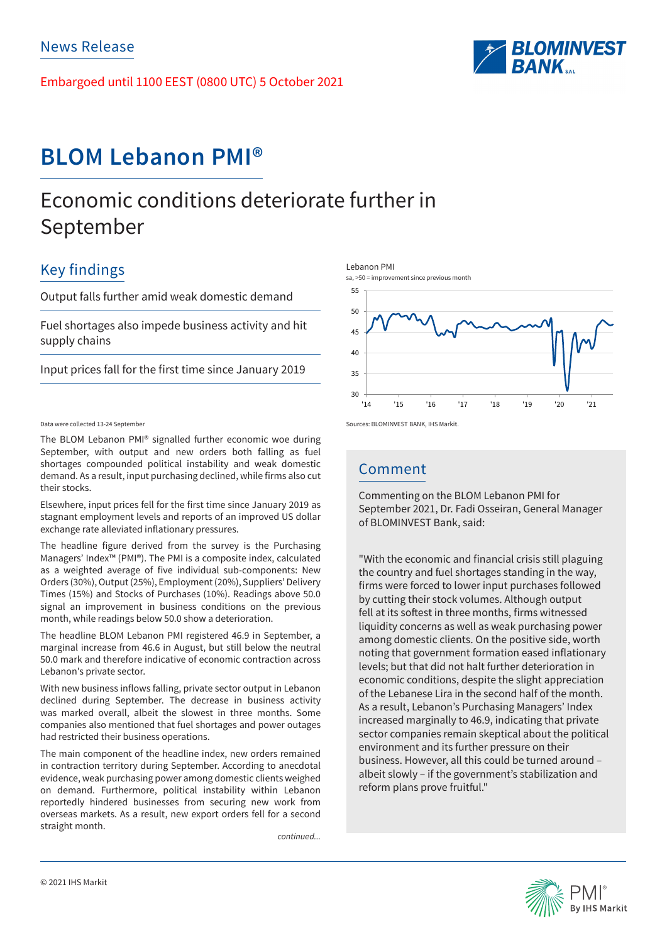Embargoed until 1100 EEST (0800 UTC) 5 October 2021



# **BLOM Lebanon PMI®**

# Economic conditions deteriorate further in September

## Key findings

Output falls further amid weak domestic demand

Fuel shortages also impede business activity and hit supply chains

Input prices fall for the first time since January 2019

## Data were collected 13-24 September

The BLOM Lebanon PMI® signalled further economic woe during September, with output and new orders both falling as fuel shortages compounded political instability and weak domestic demand. As a result, input purchasing declined, while firms also cut their stocks.

Elsewhere, input prices fell for the first time since January 2019 as stagnant employment levels and reports of an improved US dollar exchange rate alleviated inflationary pressures.

The headline figure derived from the survey is the Purchasing Managers' Index™ (PMI®). The PMI is a composite index, calculated as a weighted average of five individual sub-components: New Orders (30%), Output (25%), Employment (20%), Suppliers' Delivery Times (15%) and Stocks of Purchases (10%). Readings above 50.0 signal an improvement in business conditions on the previous month, while readings below 50.0 show a deterioration.

The headline BLOM Lebanon PMI registered 46.9 in September, a marginal increase from 46.6 in August, but still below the neutral 50.0 mark and therefore indicative of economic contraction across Lebanon's private sector.

With new business inflows falling, private sector output in Lebanon declined during September. The decrease in business activity was marked overall, albeit the slowest in three months. Some companies also mentioned that fuel shortages and power outages had restricted their business operations.

The main component of the headline index, new orders remained in contraction territory during September. According to anecdotal evidence, weak purchasing power among domestic clients weighed on demand. Furthermore, political instability within Lebanon reportedly hindered businesses from securing new work from overseas markets. As a result, new export orders fell for a second straight month.

*continued...*





Comment

Commenting on the BLOM Lebanon PMI for September 2021, Dr. Fadi Osseiran, General Manager of BLOMINVEST Bank, said:

"With the economic and financial crisis still plaguing the country and fuel shortages standing in the way, firms were forced to lower input purchases followed by cutting their stock volumes. Although output fell at its softest in three months, firms witnessed liquidity concerns as well as weak purchasing power among domestic clients. On the positive side, worth noting that government formation eased inflationary levels; but that did not halt further deterioration in economic conditions, despite the slight appreciation of the Lebanese Lira in the second half of the month. As a result, Lebanon's Purchasing Managers' Index increased marginally to 46.9, indicating that private sector companies remain skeptical about the political environment and its further pressure on their business. However, all this could be turned around – albeit slowly – if the government's stabilization and reform plans prove fruitful."